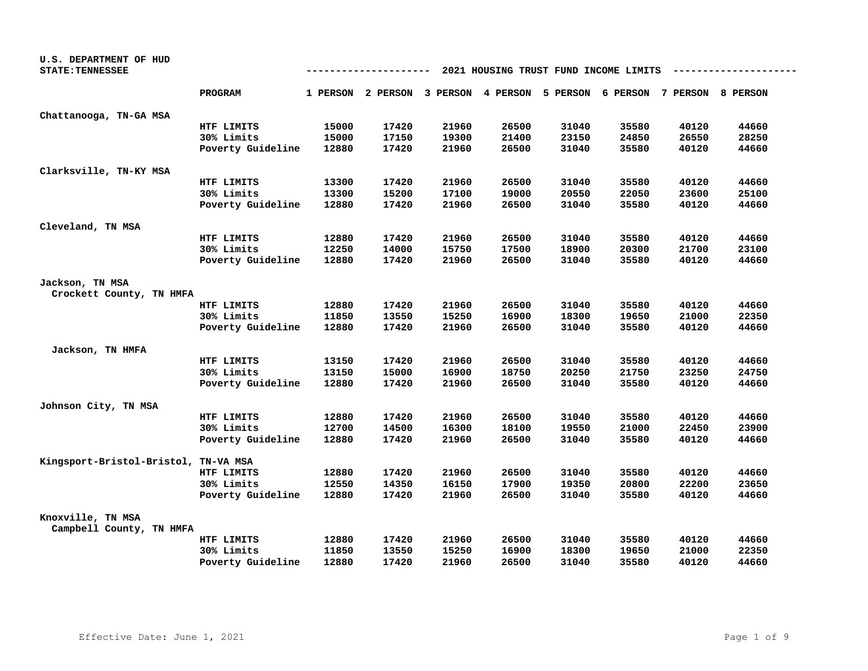| U.S. DEPARTMENT OF HUD               |                   |       |       |       |       |       |                                                                         |       |       |
|--------------------------------------|-------------------|-------|-------|-------|-------|-------|-------------------------------------------------------------------------|-------|-------|
| <b>STATE: TENNESSEE</b>              |                   |       |       |       |       |       | 2021 HOUSING TRUST FUND INCOME LIMITS                                   |       |       |
|                                      | PROGRAM           |       |       |       |       |       | 1 PERSON 2 PERSON 3 PERSON 4 PERSON 5 PERSON 6 PERSON 7 PERSON 8 PERSON |       |       |
| Chattanooga, TN-GA MSA               |                   |       |       |       |       |       |                                                                         |       |       |
|                                      | HTF LIMITS        | 15000 | 17420 | 21960 | 26500 | 31040 | 35580                                                                   | 40120 | 44660 |
|                                      | 30% Limits        | 15000 | 17150 | 19300 | 21400 | 23150 | 24850                                                                   | 26550 | 28250 |
|                                      | Poverty Guideline | 12880 | 17420 | 21960 | 26500 | 31040 | 35580                                                                   | 40120 | 44660 |
| Clarksville, TN-KY MSA               |                   |       |       |       |       |       |                                                                         |       |       |
|                                      | HTF LIMITS        | 13300 | 17420 | 21960 | 26500 | 31040 | 35580                                                                   | 40120 | 44660 |
|                                      | 30% Limits        | 13300 | 15200 | 17100 | 19000 | 20550 | 22050                                                                   | 23600 | 25100 |
|                                      | Poverty Guideline | 12880 | 17420 | 21960 | 26500 | 31040 | 35580                                                                   | 40120 | 44660 |
| Cleveland, TN MSA                    |                   |       |       |       |       |       |                                                                         |       |       |
|                                      | HTF LIMITS        | 12880 | 17420 | 21960 | 26500 | 31040 | 35580                                                                   | 40120 | 44660 |
|                                      | 30% Limits        | 12250 | 14000 | 15750 | 17500 | 18900 | 20300                                                                   | 21700 | 23100 |
|                                      | Poverty Guideline | 12880 | 17420 | 21960 | 26500 | 31040 | 35580                                                                   | 40120 | 44660 |
| Jackson, TN MSA                      |                   |       |       |       |       |       |                                                                         |       |       |
| Crockett County, TN HMFA             |                   |       |       |       |       |       |                                                                         |       |       |
|                                      | HTF LIMITS        | 12880 | 17420 | 21960 | 26500 | 31040 | 35580                                                                   | 40120 | 44660 |
|                                      | 30% Limits        | 11850 | 13550 | 15250 | 16900 | 18300 | 19650                                                                   | 21000 | 22350 |
|                                      | Poverty Guideline | 12880 | 17420 | 21960 | 26500 | 31040 | 35580                                                                   | 40120 | 44660 |
| Jackson, TN HMFA                     |                   |       |       |       |       |       |                                                                         |       |       |
|                                      | HTF LIMITS        | 13150 | 17420 | 21960 | 26500 | 31040 | 35580                                                                   | 40120 | 44660 |
|                                      | 30% Limits        | 13150 | 15000 | 16900 | 18750 | 20250 | 21750                                                                   | 23250 | 24750 |
|                                      | Poverty Guideline | 12880 | 17420 | 21960 | 26500 | 31040 | 35580                                                                   | 40120 | 44660 |
| Johnson City, TN MSA                 |                   |       |       |       |       |       |                                                                         |       |       |
|                                      | HTF LIMITS        | 12880 | 17420 | 21960 | 26500 | 31040 | 35580                                                                   | 40120 | 44660 |
|                                      | 30% Limits        | 12700 | 14500 | 16300 | 18100 | 19550 | 21000                                                                   | 22450 | 23900 |
|                                      | Poverty Guideline | 12880 | 17420 | 21960 | 26500 | 31040 | 35580                                                                   | 40120 | 44660 |
| Kingsport-Bristol-Bristol, TN-VA MSA |                   |       |       |       |       |       |                                                                         |       |       |
|                                      | HTF LIMITS        | 12880 | 17420 | 21960 | 26500 | 31040 | 35580                                                                   | 40120 | 44660 |
|                                      | 30% Limits        | 12550 | 14350 | 16150 | 17900 | 19350 | 20800                                                                   | 22200 | 23650 |
|                                      | Poverty Guideline | 12880 | 17420 | 21960 | 26500 | 31040 | 35580                                                                   | 40120 | 44660 |
| Knoxville, TN MSA                    |                   |       |       |       |       |       |                                                                         |       |       |
| Campbell County, TN HMFA             |                   |       |       |       |       |       |                                                                         |       |       |
|                                      | HTF LIMITS        | 12880 | 17420 | 21960 | 26500 | 31040 | 35580                                                                   | 40120 | 44660 |
|                                      | 30% Limits        | 11850 | 13550 | 15250 | 16900 | 18300 | 19650                                                                   | 21000 | 22350 |
|                                      | Poverty Guideline | 12880 | 17420 | 21960 | 26500 | 31040 | 35580                                                                   | 40120 | 44660 |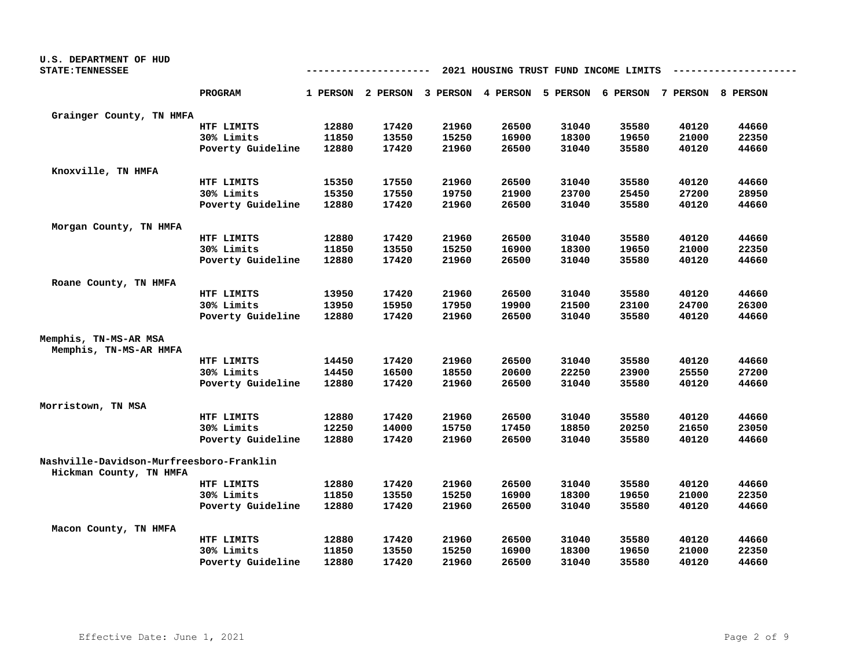| <b>U.S. DEPARTMENT OF HUD</b>                                       |                   |                                       |       |                                                                         |       |       |       |       |       |  |
|---------------------------------------------------------------------|-------------------|---------------------------------------|-------|-------------------------------------------------------------------------|-------|-------|-------|-------|-------|--|
| <b>STATE: TENNESSEE</b>                                             |                   | 2021 HOUSING TRUST FUND INCOME LIMITS |       |                                                                         |       |       |       |       |       |  |
|                                                                     | PROGRAM           |                                       |       | 1 PERSON 2 PERSON 3 PERSON 4 PERSON 5 PERSON 6 PERSON 7 PERSON 8 PERSON |       |       |       |       |       |  |
| Grainger County, TN HMFA                                            |                   |                                       |       |                                                                         |       |       |       |       |       |  |
|                                                                     | HTF LIMITS        | 12880                                 | 17420 | 21960                                                                   | 26500 | 31040 | 35580 | 40120 | 44660 |  |
|                                                                     | 30% Limits        | 11850                                 | 13550 | 15250                                                                   | 16900 | 18300 | 19650 | 21000 | 22350 |  |
|                                                                     | Poverty Guideline | 12880                                 | 17420 | 21960                                                                   | 26500 | 31040 | 35580 | 40120 | 44660 |  |
| Knoxville, TN HMFA                                                  |                   |                                       |       |                                                                         |       |       |       |       |       |  |
|                                                                     | HTF LIMITS        | 15350                                 | 17550 | 21960                                                                   | 26500 | 31040 | 35580 | 40120 | 44660 |  |
|                                                                     | 30% Limits        | 15350                                 | 17550 | 19750                                                                   | 21900 | 23700 | 25450 | 27200 | 28950 |  |
|                                                                     | Poverty Guideline | 12880                                 | 17420 | 21960                                                                   | 26500 | 31040 | 35580 | 40120 | 44660 |  |
| Morgan County, TN HMFA                                              |                   |                                       |       |                                                                         |       |       |       |       |       |  |
|                                                                     | HTF LIMITS        | 12880                                 | 17420 | 21960                                                                   | 26500 | 31040 | 35580 | 40120 | 44660 |  |
|                                                                     | 30% Limits        | 11850                                 | 13550 | 15250                                                                   | 16900 | 18300 | 19650 | 21000 | 22350 |  |
|                                                                     | Poverty Guideline | 12880                                 | 17420 | 21960                                                                   | 26500 | 31040 | 35580 | 40120 | 44660 |  |
| Roane County, TN HMFA                                               |                   |                                       |       |                                                                         |       |       |       |       |       |  |
|                                                                     | HTF LIMITS        | 13950                                 | 17420 | 21960                                                                   | 26500 | 31040 | 35580 | 40120 | 44660 |  |
|                                                                     | 30% Limits        | 13950                                 | 15950 | 17950                                                                   | 19900 | 21500 | 23100 | 24700 | 26300 |  |
|                                                                     | Poverty Guideline | 12880                                 | 17420 | 21960                                                                   | 26500 | 31040 | 35580 | 40120 | 44660 |  |
| Memphis, TN-MS-AR MSA                                               |                   |                                       |       |                                                                         |       |       |       |       |       |  |
| Memphis, TN-MS-AR HMFA                                              |                   |                                       |       |                                                                         |       |       |       |       |       |  |
|                                                                     | HTF LIMITS        | 14450                                 | 17420 | 21960                                                                   | 26500 | 31040 | 35580 | 40120 | 44660 |  |
|                                                                     | 30% Limits        | 14450                                 | 16500 | 18550                                                                   | 20600 | 22250 | 23900 | 25550 | 27200 |  |
|                                                                     | Poverty Guideline | 12880                                 | 17420 | 21960                                                                   | 26500 | 31040 | 35580 | 40120 | 44660 |  |
| Morristown, TN MSA                                                  |                   |                                       |       |                                                                         |       |       |       |       |       |  |
|                                                                     | HTF LIMITS        | 12880                                 | 17420 | 21960                                                                   | 26500 | 31040 | 35580 | 40120 | 44660 |  |
|                                                                     | 30% Limits        | 12250                                 | 14000 | 15750                                                                   | 17450 | 18850 | 20250 | 21650 | 23050 |  |
|                                                                     | Poverty Guideline | 12880                                 | 17420 | 21960                                                                   | 26500 | 31040 | 35580 | 40120 | 44660 |  |
| Nashville-Davidson-Murfreesboro-Franklin<br>Hickman County, TN HMFA |                   |                                       |       |                                                                         |       |       |       |       |       |  |
|                                                                     | HTF LIMITS        | 12880                                 | 17420 | 21960                                                                   | 26500 | 31040 | 35580 | 40120 | 44660 |  |
|                                                                     | 30% Limits        | 11850                                 | 13550 | 15250                                                                   | 16900 | 18300 | 19650 | 21000 | 22350 |  |
|                                                                     | Poverty Guideline | 12880                                 | 17420 | 21960                                                                   | 26500 | 31040 | 35580 | 40120 | 44660 |  |
| Macon County, TN HMFA                                               |                   |                                       |       |                                                                         |       |       |       |       |       |  |
|                                                                     | HTF LIMITS        | 12880                                 | 17420 | 21960                                                                   | 26500 | 31040 | 35580 | 40120 | 44660 |  |
|                                                                     | 30% Limits        | 11850                                 | 13550 | 15250                                                                   | 16900 | 18300 | 19650 | 21000 | 22350 |  |
|                                                                     | Poverty Guideline | 12880                                 | 17420 | 21960                                                                   | 26500 | 31040 | 35580 | 40120 | 44660 |  |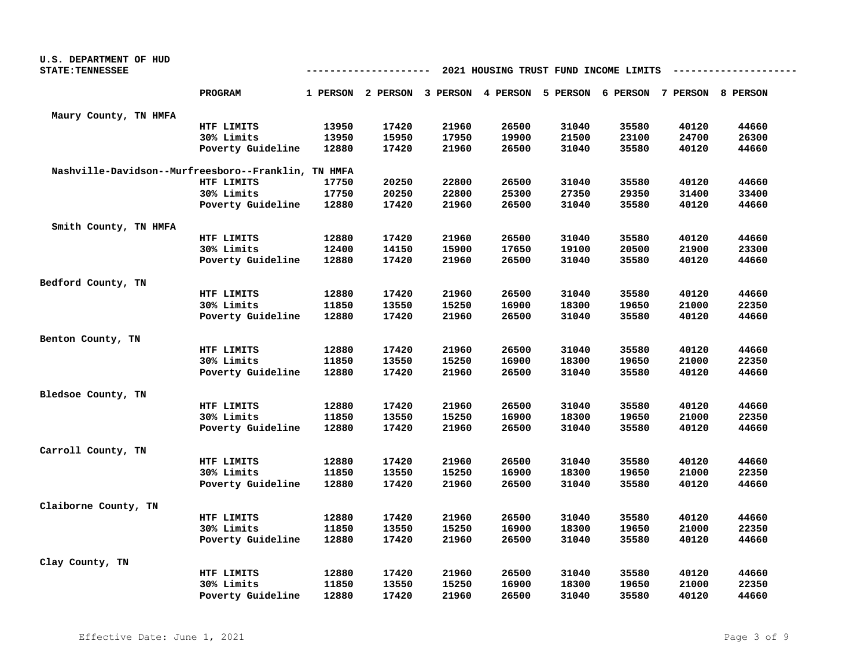| U.S. DEPARTMENT OF HUD                              |                   |       |             |                                     |       |       |                                       |       |       |
|-----------------------------------------------------|-------------------|-------|-------------|-------------------------------------|-------|-------|---------------------------------------|-------|-------|
| <b>STATE: TENNESSEE</b>                             |                   |       | ----------- |                                     |       |       | 2021 HOUSING TRUST FUND INCOME LIMITS |       |       |
|                                                     | PROGRAM           |       |             | 1 PERSON 2 PERSON 3 PERSON 4 PERSON |       |       | 5 PERSON 6 PERSON 7 PERSON 8 PERSON   |       |       |
| Maury County, TN HMFA                               |                   |       |             |                                     |       |       |                                       |       |       |
|                                                     | HTF LIMITS        | 13950 | 17420       | 21960                               | 26500 | 31040 | 35580                                 | 40120 | 44660 |
|                                                     | 30% Limits        | 13950 | 15950       | 17950                               | 19900 | 21500 | 23100                                 | 24700 | 26300 |
|                                                     | Poverty Guideline | 12880 | 17420       | 21960                               | 26500 | 31040 | 35580                                 | 40120 | 44660 |
| Nashville-Davidson--Murfreesboro--Franklin, TN HMFA |                   |       |             |                                     |       |       |                                       |       |       |
|                                                     | HTF LIMITS        | 17750 | 20250       | 22800                               | 26500 | 31040 | 35580                                 | 40120 | 44660 |
|                                                     | 30% Limits        | 17750 | 20250       | 22800                               | 25300 | 27350 | 29350                                 | 31400 | 33400 |
|                                                     | Poverty Guideline | 12880 | 17420       | 21960                               | 26500 | 31040 | 35580                                 | 40120 | 44660 |
| Smith County, TN HMFA                               |                   |       |             |                                     |       |       |                                       |       |       |
|                                                     | HTF LIMITS        | 12880 | 17420       | 21960                               | 26500 | 31040 | 35580                                 | 40120 | 44660 |
|                                                     | 30% Limits        | 12400 | 14150       | 15900                               | 17650 | 19100 | 20500                                 | 21900 | 23300 |
|                                                     | Poverty Guideline | 12880 | 17420       | 21960                               | 26500 | 31040 | 35580                                 | 40120 | 44660 |
| Bedford County, TN                                  |                   |       |             |                                     |       |       |                                       |       |       |
|                                                     | HTF LIMITS        | 12880 | 17420       | 21960                               | 26500 | 31040 | 35580                                 | 40120 | 44660 |
|                                                     | 30% Limits        | 11850 | 13550       | 15250                               | 16900 | 18300 | 19650                                 | 21000 | 22350 |
|                                                     | Poverty Guideline | 12880 | 17420       | 21960                               | 26500 | 31040 | 35580                                 | 40120 | 44660 |
| Benton County, TN                                   |                   |       |             |                                     |       |       |                                       |       |       |
|                                                     | HTF LIMITS        | 12880 | 17420       | 21960                               | 26500 | 31040 | 35580                                 | 40120 | 44660 |
|                                                     | 30% Limits        | 11850 | 13550       | 15250                               | 16900 | 18300 | 19650                                 | 21000 | 22350 |
|                                                     | Poverty Guideline | 12880 | 17420       | 21960                               | 26500 | 31040 | 35580                                 | 40120 | 44660 |
| Bledsoe County, TN                                  |                   |       |             |                                     |       |       |                                       |       |       |
|                                                     | HTF LIMITS        | 12880 | 17420       | 21960                               | 26500 | 31040 | 35580                                 | 40120 | 44660 |
|                                                     | 30% Limits        | 11850 | 13550       | 15250                               | 16900 | 18300 | 19650                                 | 21000 | 22350 |
|                                                     | Poverty Guideline | 12880 | 17420       | 21960                               | 26500 | 31040 | 35580                                 | 40120 | 44660 |
| Carroll County, TN                                  |                   |       |             |                                     |       |       |                                       |       |       |
|                                                     | HTF LIMITS        | 12880 | 17420       | 21960                               | 26500 | 31040 | 35580                                 | 40120 | 44660 |
|                                                     | 30% Limits        | 11850 | 13550       | 15250                               | 16900 | 18300 | 19650                                 | 21000 | 22350 |
|                                                     | Poverty Guideline | 12880 | 17420       | 21960                               | 26500 | 31040 | 35580                                 | 40120 | 44660 |
| Claiborne County, TN                                |                   |       |             |                                     |       |       |                                       |       |       |
|                                                     | HTF LIMITS        | 12880 | 17420       | 21960                               | 26500 | 31040 | 35580                                 | 40120 | 44660 |
|                                                     | 30% Limits        | 11850 | 13550       | 15250                               | 16900 | 18300 | 19650                                 | 21000 | 22350 |
|                                                     | Poverty Guideline | 12880 | 17420       | 21960                               | 26500 | 31040 | 35580                                 | 40120 | 44660 |
| Clay County, TN                                     |                   |       |             |                                     |       |       |                                       |       |       |
|                                                     | HTF LIMITS        | 12880 | 17420       | 21960                               | 26500 | 31040 | 35580                                 | 40120 | 44660 |
|                                                     | 30% Limits        | 11850 | 13550       | 15250                               | 16900 | 18300 | 19650                                 | 21000 | 22350 |
|                                                     | Poverty Guideline | 12880 | 17420       | 21960                               | 26500 | 31040 | 35580                                 | 40120 | 44660 |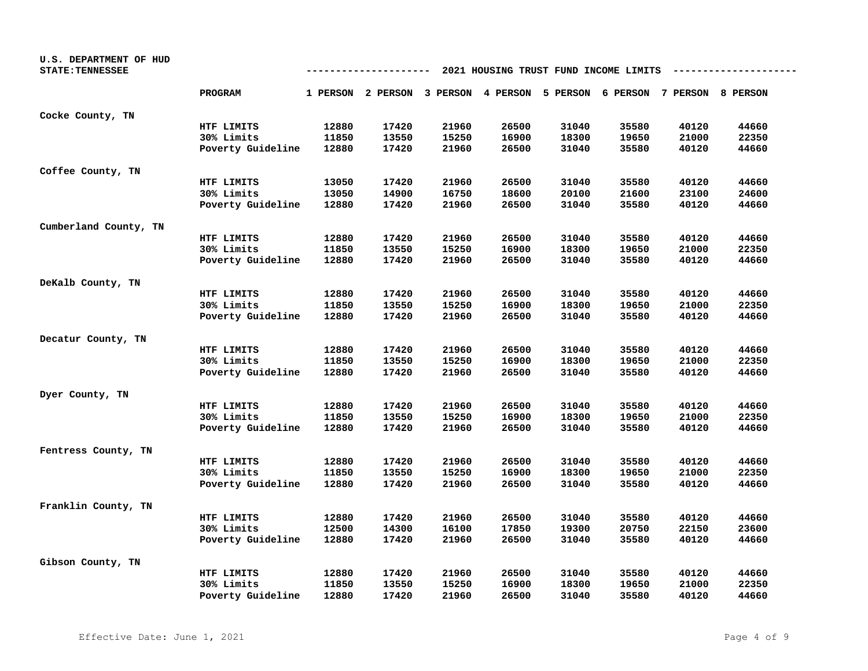| U.S. DEPARTMENT OF HUD<br><b>STATE: TENNESSEE</b> | 2021 HOUSING TRUST FUND INCOME LIMITS |       |       |       |       |       |                                                                         |       |       |
|---------------------------------------------------|---------------------------------------|-------|-------|-------|-------|-------|-------------------------------------------------------------------------|-------|-------|
|                                                   | <b>PROGRAM</b>                        |       |       |       |       |       | 1 PERSON 2 PERSON 3 PERSON 4 PERSON 5 PERSON 6 PERSON 7 PERSON 8 PERSON |       |       |
| Cocke County, TN                                  |                                       |       |       |       |       |       |                                                                         |       |       |
|                                                   | HTF LIMITS                            | 12880 | 17420 | 21960 | 26500 | 31040 | 35580                                                                   | 40120 | 44660 |
|                                                   | 30% Limits                            | 11850 | 13550 | 15250 | 16900 | 18300 | 19650                                                                   | 21000 | 22350 |
|                                                   | Poverty Guideline                     | 12880 | 17420 | 21960 | 26500 | 31040 | 35580                                                                   | 40120 | 44660 |
| Coffee County, TN                                 |                                       |       |       |       |       |       |                                                                         |       |       |
|                                                   | HTF LIMITS                            | 13050 | 17420 | 21960 | 26500 | 31040 | 35580                                                                   | 40120 | 44660 |
|                                                   | 30% Limits                            | 13050 | 14900 | 16750 | 18600 | 20100 | 21600                                                                   | 23100 | 24600 |
|                                                   | Poverty Guideline                     | 12880 | 17420 | 21960 | 26500 | 31040 | 35580                                                                   | 40120 | 44660 |
| Cumberland County, TN                             |                                       |       |       |       |       |       |                                                                         |       |       |
|                                                   | HTF LIMITS                            | 12880 | 17420 | 21960 | 26500 | 31040 | 35580                                                                   | 40120 | 44660 |
|                                                   | 30% Limits                            | 11850 | 13550 | 15250 | 16900 | 18300 | 19650                                                                   | 21000 | 22350 |
|                                                   | Poverty Guideline                     | 12880 | 17420 | 21960 | 26500 | 31040 | 35580                                                                   | 40120 | 44660 |
| DeKalb County, TN                                 |                                       |       |       |       |       |       |                                                                         |       |       |
|                                                   | HTF LIMITS                            | 12880 | 17420 | 21960 | 26500 | 31040 | 35580                                                                   | 40120 | 44660 |
|                                                   | 30% Limits                            | 11850 | 13550 | 15250 | 16900 | 18300 | 19650                                                                   | 21000 | 22350 |
|                                                   | Poverty Guideline                     | 12880 | 17420 | 21960 | 26500 | 31040 | 35580                                                                   | 40120 | 44660 |
| Decatur County, TN                                |                                       |       |       |       |       |       |                                                                         |       |       |
|                                                   | HTF LIMITS                            | 12880 | 17420 | 21960 | 26500 | 31040 | 35580                                                                   | 40120 | 44660 |
|                                                   | 30% Limits                            | 11850 | 13550 | 15250 | 16900 | 18300 | 19650                                                                   | 21000 | 22350 |
|                                                   | Poverty Guideline                     | 12880 | 17420 | 21960 | 26500 | 31040 | 35580                                                                   | 40120 | 44660 |
| Dyer County, TN                                   |                                       |       |       |       |       |       |                                                                         |       |       |
|                                                   | HTF LIMITS                            | 12880 | 17420 | 21960 | 26500 | 31040 | 35580                                                                   | 40120 | 44660 |
|                                                   | 30% Limits                            | 11850 | 13550 | 15250 | 16900 | 18300 | 19650                                                                   | 21000 | 22350 |
|                                                   | Poverty Guideline                     | 12880 | 17420 | 21960 | 26500 | 31040 | 35580                                                                   | 40120 | 44660 |
| Fentress County, TN                               |                                       |       |       |       |       |       |                                                                         |       |       |
|                                                   | HTF LIMITS                            | 12880 | 17420 | 21960 | 26500 | 31040 | 35580                                                                   | 40120 | 44660 |
|                                                   | 30% Limits                            | 11850 | 13550 | 15250 | 16900 | 18300 | 19650                                                                   | 21000 | 22350 |
|                                                   | Poverty Guideline                     | 12880 | 17420 | 21960 | 26500 | 31040 | 35580                                                                   | 40120 | 44660 |
| Franklin County, TN                               |                                       |       |       |       |       |       |                                                                         |       |       |
|                                                   | HTF LIMITS                            | 12880 | 17420 | 21960 | 26500 | 31040 | 35580                                                                   | 40120 | 44660 |
|                                                   | 30% Limits                            | 12500 | 14300 | 16100 | 17850 | 19300 | 20750                                                                   | 22150 | 23600 |
|                                                   | Poverty Guideline                     | 12880 | 17420 | 21960 | 26500 | 31040 | 35580                                                                   | 40120 | 44660 |
| Gibson County, TN                                 |                                       |       |       |       |       |       |                                                                         |       |       |
|                                                   | HTF LIMITS                            | 12880 | 17420 | 21960 | 26500 | 31040 | 35580                                                                   | 40120 | 44660 |
|                                                   | 30% Limits                            | 11850 | 13550 | 15250 | 16900 | 18300 | 19650                                                                   | 21000 | 22350 |
|                                                   | Poverty Guideline                     | 12880 | 17420 | 21960 | 26500 | 31040 | 35580                                                                   | 40120 | 44660 |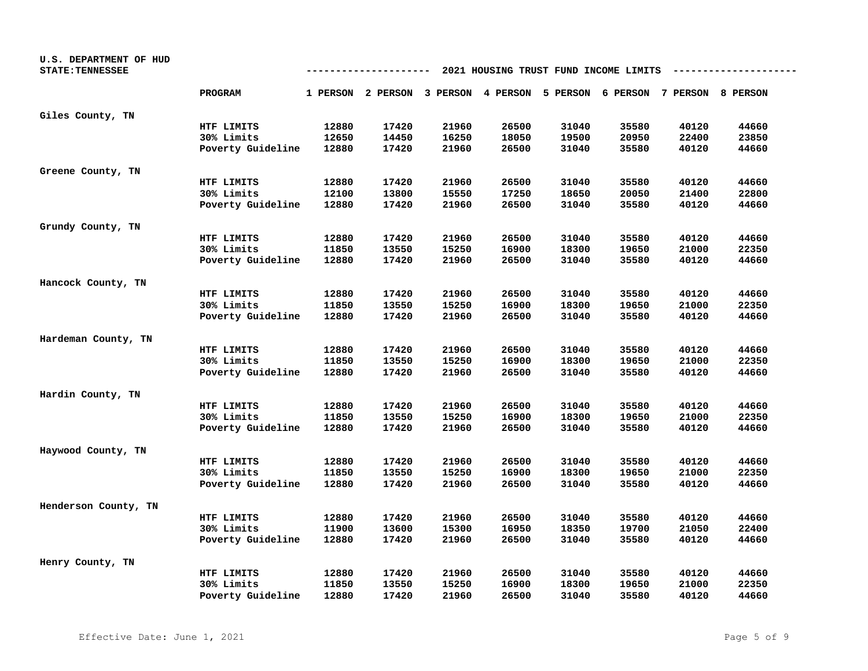| U.S. DEPARTMENT OF HUD<br><b>STATE: TENNESSEE</b> | 2021 HOUSING TRUST FUND INCOME LIMITS |       |       |       |       |       |                                                                         |       |       |
|---------------------------------------------------|---------------------------------------|-------|-------|-------|-------|-------|-------------------------------------------------------------------------|-------|-------|
|                                                   | PROGRAM                               |       |       |       |       |       | 1 PERSON 2 PERSON 3 PERSON 4 PERSON 5 PERSON 6 PERSON 7 PERSON 8 PERSON |       |       |
| Giles County, TN                                  |                                       |       |       |       |       |       |                                                                         |       |       |
|                                                   | HTF LIMITS                            | 12880 | 17420 | 21960 | 26500 | 31040 | 35580                                                                   | 40120 | 44660 |
|                                                   | 30% Limits                            | 12650 | 14450 | 16250 | 18050 | 19500 | 20950                                                                   | 22400 | 23850 |
|                                                   | Poverty Guideline                     | 12880 | 17420 | 21960 | 26500 | 31040 | 35580                                                                   | 40120 | 44660 |
| Greene County, TN                                 |                                       |       |       |       |       |       |                                                                         |       |       |
|                                                   | HTF LIMITS                            | 12880 | 17420 | 21960 | 26500 | 31040 | 35580                                                                   | 40120 | 44660 |
|                                                   | 30% Limits                            | 12100 | 13800 | 15550 | 17250 | 18650 | 20050                                                                   | 21400 | 22800 |
|                                                   | Poverty Guideline                     | 12880 | 17420 | 21960 | 26500 | 31040 | 35580                                                                   | 40120 | 44660 |
| Grundy County, TN                                 |                                       |       |       |       |       |       |                                                                         |       |       |
|                                                   | HTF LIMITS                            | 12880 | 17420 | 21960 | 26500 | 31040 | 35580                                                                   | 40120 | 44660 |
|                                                   | 30% Limits                            | 11850 | 13550 | 15250 | 16900 | 18300 | 19650                                                                   | 21000 | 22350 |
|                                                   | Poverty Guideline                     | 12880 | 17420 | 21960 | 26500 | 31040 | 35580                                                                   | 40120 | 44660 |
| Hancock County, TN                                |                                       |       |       |       |       |       |                                                                         |       |       |
|                                                   | HTF LIMITS                            | 12880 | 17420 | 21960 | 26500 | 31040 | 35580                                                                   | 40120 | 44660 |
|                                                   | 30% Limits                            | 11850 | 13550 | 15250 | 16900 | 18300 | 19650                                                                   | 21000 | 22350 |
|                                                   | Poverty Guideline                     | 12880 | 17420 | 21960 | 26500 | 31040 | 35580                                                                   | 40120 | 44660 |
| Hardeman County, TN                               |                                       |       |       |       |       |       |                                                                         |       |       |
|                                                   | HTF LIMITS                            | 12880 | 17420 | 21960 | 26500 | 31040 | 35580                                                                   | 40120 | 44660 |
|                                                   | 30% Limits                            | 11850 | 13550 | 15250 | 16900 | 18300 | 19650                                                                   | 21000 | 22350 |
|                                                   | Poverty Guideline                     | 12880 | 17420 | 21960 | 26500 | 31040 | 35580                                                                   | 40120 | 44660 |
| Hardin County, TN                                 |                                       |       |       |       |       |       |                                                                         |       |       |
|                                                   | HTF LIMITS                            | 12880 | 17420 | 21960 | 26500 | 31040 | 35580                                                                   | 40120 | 44660 |
|                                                   | 30% Limits                            | 11850 | 13550 | 15250 | 16900 | 18300 | 19650                                                                   | 21000 | 22350 |
|                                                   | Poverty Guideline                     | 12880 | 17420 | 21960 | 26500 | 31040 | 35580                                                                   | 40120 | 44660 |
| Haywood County, TN                                |                                       |       |       |       |       |       |                                                                         |       |       |
|                                                   | HTF LIMITS                            | 12880 | 17420 | 21960 | 26500 | 31040 | 35580                                                                   | 40120 | 44660 |
|                                                   | 30% Limits                            | 11850 | 13550 | 15250 | 16900 | 18300 | 19650                                                                   | 21000 | 22350 |
|                                                   | Poverty Guideline                     | 12880 | 17420 | 21960 | 26500 | 31040 | 35580                                                                   | 40120 | 44660 |
| Henderson County, TN                              |                                       |       |       |       |       |       |                                                                         |       |       |
|                                                   | HTF LIMITS                            | 12880 | 17420 | 21960 | 26500 | 31040 | 35580                                                                   | 40120 | 44660 |
|                                                   | 30% Limits                            | 11900 | 13600 | 15300 | 16950 | 18350 | 19700                                                                   | 21050 | 22400 |
|                                                   | Poverty Guideline                     | 12880 | 17420 | 21960 | 26500 | 31040 | 35580                                                                   | 40120 | 44660 |
| Henry County, TN                                  |                                       |       |       |       |       |       |                                                                         |       |       |
|                                                   | HTF LIMITS                            | 12880 | 17420 | 21960 | 26500 | 31040 | 35580                                                                   | 40120 | 44660 |
|                                                   | 30% Limits                            | 11850 | 13550 | 15250 | 16900 | 18300 | 19650                                                                   | 21000 | 22350 |
|                                                   | Poverty Guideline                     | 12880 | 17420 | 21960 | 26500 | 31040 | 35580                                                                   | 40120 | 44660 |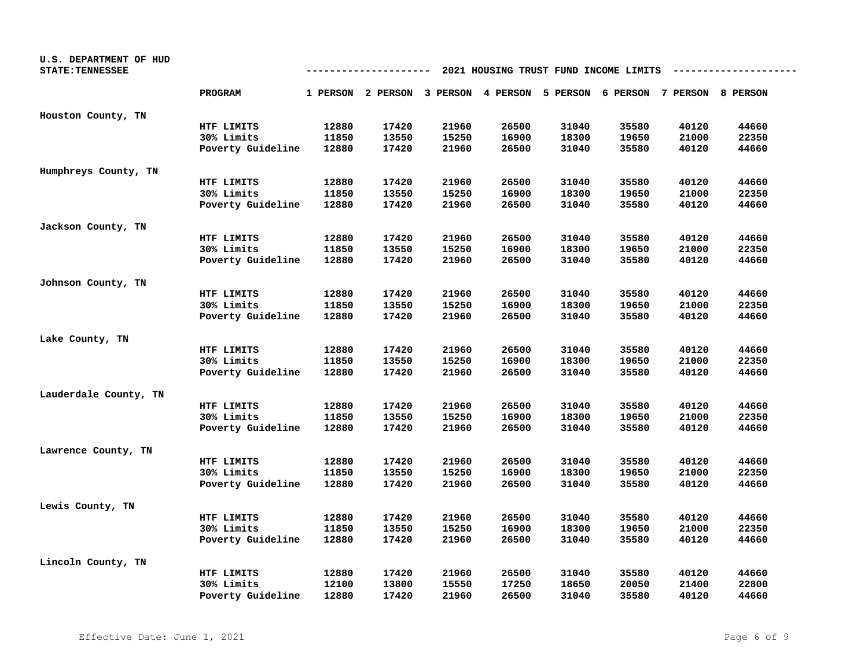| U.S. DEPARTMENT OF HUD<br><b>STATE: TENNESSEE</b> | 2021 HOUSING TRUST FUND INCOME LIMITS |       |       |       |                                                                         |       |       |       |       |  |
|---------------------------------------------------|---------------------------------------|-------|-------|-------|-------------------------------------------------------------------------|-------|-------|-------|-------|--|
|                                                   | <b>PROGRAM</b>                        |       |       |       | 1 PERSON 2 PERSON 3 PERSON 4 PERSON 5 PERSON 6 PERSON 7 PERSON 8 PERSON |       |       |       |       |  |
| Houston County, TN                                |                                       |       |       |       |                                                                         |       |       |       |       |  |
|                                                   | HTF LIMITS                            | 12880 | 17420 | 21960 | 26500                                                                   | 31040 | 35580 | 40120 | 44660 |  |
|                                                   | 30% Limits                            | 11850 | 13550 | 15250 | 16900                                                                   | 18300 | 19650 | 21000 | 22350 |  |
|                                                   | Poverty Guideline                     | 12880 | 17420 | 21960 | 26500                                                                   | 31040 | 35580 | 40120 | 44660 |  |
| Humphreys County, TN                              |                                       |       |       |       |                                                                         |       |       |       |       |  |
|                                                   | HTF LIMITS                            | 12880 | 17420 | 21960 | 26500                                                                   | 31040 | 35580 | 40120 | 44660 |  |
|                                                   | 30% Limits                            | 11850 | 13550 | 15250 | 16900                                                                   | 18300 | 19650 | 21000 | 22350 |  |
|                                                   | Poverty Guideline                     | 12880 | 17420 | 21960 | 26500                                                                   | 31040 | 35580 | 40120 | 44660 |  |
| Jackson County, TN                                |                                       |       |       |       |                                                                         |       |       |       |       |  |
|                                                   | HTF LIMITS                            | 12880 | 17420 | 21960 | 26500                                                                   | 31040 | 35580 | 40120 | 44660 |  |
|                                                   | 30% Limits                            | 11850 | 13550 | 15250 | 16900                                                                   | 18300 | 19650 | 21000 | 22350 |  |
|                                                   | Poverty Guideline                     | 12880 | 17420 | 21960 | 26500                                                                   | 31040 | 35580 | 40120 | 44660 |  |
| Johnson County, TN                                |                                       |       |       |       |                                                                         |       |       |       |       |  |
|                                                   | HTF LIMITS                            | 12880 | 17420 | 21960 | 26500                                                                   | 31040 | 35580 | 40120 | 44660 |  |
|                                                   | 30% Limits                            | 11850 | 13550 | 15250 | 16900                                                                   | 18300 | 19650 | 21000 | 22350 |  |
|                                                   | Poverty Guideline                     | 12880 | 17420 | 21960 | 26500                                                                   | 31040 | 35580 | 40120 | 44660 |  |
| Lake County, TN                                   |                                       |       |       |       |                                                                         |       |       |       |       |  |
|                                                   | HTF LIMITS                            | 12880 | 17420 | 21960 | 26500                                                                   | 31040 | 35580 | 40120 | 44660 |  |
|                                                   | 30% Limits                            | 11850 | 13550 | 15250 | 16900                                                                   | 18300 | 19650 | 21000 | 22350 |  |
|                                                   | Poverty Guideline                     | 12880 | 17420 | 21960 | 26500                                                                   | 31040 | 35580 | 40120 | 44660 |  |
| Lauderdale County, TN                             |                                       |       |       |       |                                                                         |       |       |       |       |  |
|                                                   | HTF LIMITS                            | 12880 | 17420 | 21960 | 26500                                                                   | 31040 | 35580 | 40120 | 44660 |  |
|                                                   | 30% Limits                            | 11850 | 13550 | 15250 | 16900                                                                   | 18300 | 19650 | 21000 | 22350 |  |
|                                                   | Poverty Guideline                     | 12880 | 17420 | 21960 | 26500                                                                   | 31040 | 35580 | 40120 | 44660 |  |
| Lawrence County, TN                               |                                       |       |       |       |                                                                         |       |       |       |       |  |
|                                                   | HTF LIMITS                            | 12880 | 17420 | 21960 | 26500                                                                   | 31040 | 35580 | 40120 | 44660 |  |
|                                                   | 30% Limits                            | 11850 | 13550 | 15250 | 16900                                                                   | 18300 | 19650 | 21000 | 22350 |  |
|                                                   | Poverty Guideline                     | 12880 | 17420 | 21960 | 26500                                                                   | 31040 | 35580 | 40120 | 44660 |  |
| Lewis County, TN                                  |                                       |       |       |       |                                                                         |       |       |       |       |  |
|                                                   | HTF LIMITS                            | 12880 | 17420 | 21960 | 26500                                                                   | 31040 | 35580 | 40120 | 44660 |  |
|                                                   | 30% Limits                            | 11850 | 13550 | 15250 | 16900                                                                   | 18300 | 19650 | 21000 | 22350 |  |
|                                                   | Poverty Guideline                     | 12880 | 17420 | 21960 | 26500                                                                   | 31040 | 35580 | 40120 | 44660 |  |
| Lincoln County, TN                                |                                       |       |       |       |                                                                         |       |       |       |       |  |
|                                                   | HTF LIMITS                            | 12880 | 17420 | 21960 | 26500                                                                   | 31040 | 35580 | 40120 | 44660 |  |
|                                                   | 30% Limits                            | 12100 | 13800 | 15550 | 17250                                                                   | 18650 | 20050 | 21400 | 22800 |  |
|                                                   | Poverty Guideline                     | 12880 | 17420 | 21960 | 26500                                                                   | 31040 | 35580 | 40120 | 44660 |  |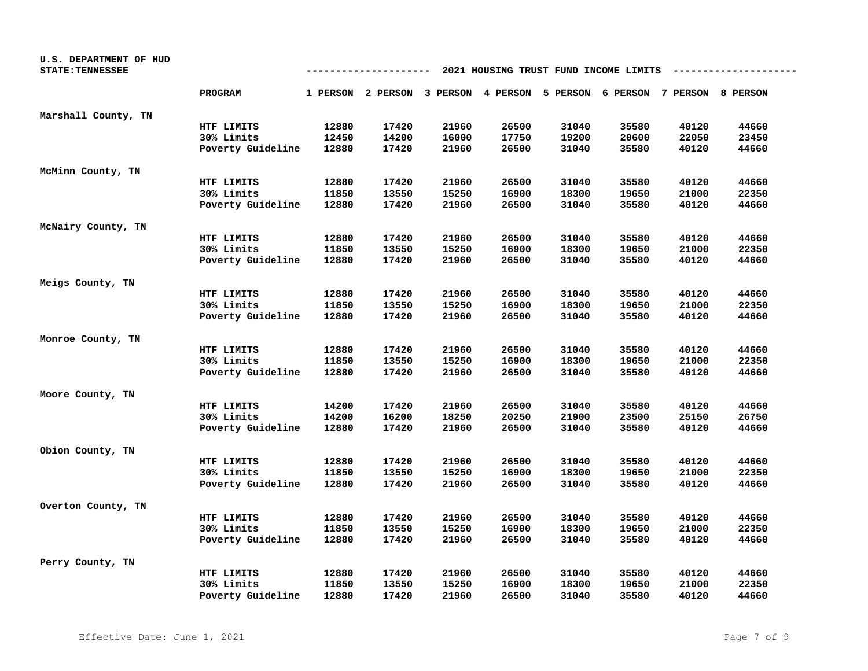| U.S. DEPARTMENT OF HUD<br><b>STATE: TENNESSEE</b> | 2021 HOUSING TRUST FUND INCOME LIMITS<br>---- |       |                                                                         |       |       |       |       |       |       |
|---------------------------------------------------|-----------------------------------------------|-------|-------------------------------------------------------------------------|-------|-------|-------|-------|-------|-------|
|                                                   | <b>PROGRAM</b>                                |       | 1 PERSON 2 PERSON 3 PERSON 4 PERSON 5 PERSON 6 PERSON 7 PERSON 8 PERSON |       |       |       |       |       |       |
| Marshall County, TN                               |                                               |       |                                                                         |       |       |       |       |       |       |
|                                                   | HTF LIMITS                                    | 12880 | 17420                                                                   | 21960 | 26500 | 31040 | 35580 | 40120 | 44660 |
|                                                   | 30% Limits                                    | 12450 | 14200                                                                   | 16000 | 17750 | 19200 | 20600 | 22050 | 23450 |
|                                                   | Poverty Guideline                             | 12880 | 17420                                                                   | 21960 | 26500 | 31040 | 35580 | 40120 | 44660 |
| McMinn County, TN                                 |                                               |       |                                                                         |       |       |       |       |       |       |
|                                                   | HTF LIMITS                                    | 12880 | 17420                                                                   | 21960 | 26500 | 31040 | 35580 | 40120 | 44660 |
|                                                   | 30% Limits                                    | 11850 | 13550                                                                   | 15250 | 16900 | 18300 | 19650 | 21000 | 22350 |
|                                                   | Poverty Guideline                             | 12880 | 17420                                                                   | 21960 | 26500 | 31040 | 35580 | 40120 | 44660 |
| McNairy County, TN                                |                                               |       |                                                                         |       |       |       |       |       |       |
|                                                   | HTF LIMITS                                    | 12880 | 17420                                                                   | 21960 | 26500 | 31040 | 35580 | 40120 | 44660 |
|                                                   | 30% Limits                                    | 11850 | 13550                                                                   | 15250 | 16900 | 18300 | 19650 | 21000 | 22350 |
|                                                   | Poverty Guideline                             | 12880 | 17420                                                                   | 21960 | 26500 | 31040 | 35580 | 40120 | 44660 |
| Meigs County, TN                                  |                                               |       |                                                                         |       |       |       |       |       |       |
|                                                   | HTF LIMITS                                    | 12880 | 17420                                                                   | 21960 | 26500 | 31040 | 35580 | 40120 | 44660 |
|                                                   | 30% Limits                                    | 11850 | 13550                                                                   | 15250 | 16900 | 18300 | 19650 | 21000 | 22350 |
|                                                   | Poverty Guideline                             | 12880 | 17420                                                                   | 21960 | 26500 | 31040 | 35580 | 40120 | 44660 |
| Monroe County, TN                                 |                                               |       |                                                                         |       |       |       |       |       |       |
|                                                   | HTF LIMITS                                    | 12880 | 17420                                                                   | 21960 | 26500 | 31040 | 35580 | 40120 | 44660 |
|                                                   | 30% Limits                                    | 11850 | 13550                                                                   | 15250 | 16900 | 18300 | 19650 | 21000 | 22350 |
|                                                   | Poverty Guideline                             | 12880 | 17420                                                                   | 21960 | 26500 | 31040 | 35580 | 40120 | 44660 |
| Moore County, TN                                  |                                               |       |                                                                         |       |       |       |       |       |       |
|                                                   | HTF LIMITS                                    | 14200 | 17420                                                                   | 21960 | 26500 | 31040 | 35580 | 40120 | 44660 |
|                                                   | 30% Limits                                    | 14200 | 16200                                                                   | 18250 | 20250 | 21900 | 23500 | 25150 | 26750 |
|                                                   | Poverty Guideline                             | 12880 | 17420                                                                   | 21960 | 26500 | 31040 | 35580 | 40120 | 44660 |
| Obion County, TN                                  |                                               |       |                                                                         |       |       |       |       |       |       |
|                                                   | HTF LIMITS                                    | 12880 | 17420                                                                   | 21960 | 26500 | 31040 | 35580 | 40120 | 44660 |
|                                                   | 30% Limits                                    | 11850 | 13550                                                                   | 15250 | 16900 | 18300 | 19650 | 21000 | 22350 |
|                                                   | Poverty Guideline                             | 12880 | 17420                                                                   | 21960 | 26500 | 31040 | 35580 | 40120 | 44660 |
| Overton County, TN                                |                                               |       |                                                                         |       |       |       |       |       |       |
|                                                   | HTF LIMITS                                    | 12880 | 17420                                                                   | 21960 | 26500 | 31040 | 35580 | 40120 | 44660 |
|                                                   | 30% Limits                                    | 11850 | 13550                                                                   | 15250 | 16900 | 18300 | 19650 | 21000 | 22350 |
|                                                   | Poverty Guideline                             | 12880 | 17420                                                                   | 21960 | 26500 | 31040 | 35580 | 40120 | 44660 |
| Perry County, TN                                  |                                               |       |                                                                         |       |       |       |       |       |       |
|                                                   | HTF LIMITS                                    | 12880 | 17420                                                                   | 21960 | 26500 | 31040 | 35580 | 40120 | 44660 |
|                                                   | 30% Limits                                    | 11850 | 13550                                                                   | 15250 | 16900 | 18300 | 19650 | 21000 | 22350 |
|                                                   | Poverty Guideline                             | 12880 | 17420                                                                   | 21960 | 26500 | 31040 | 35580 | 40120 | 44660 |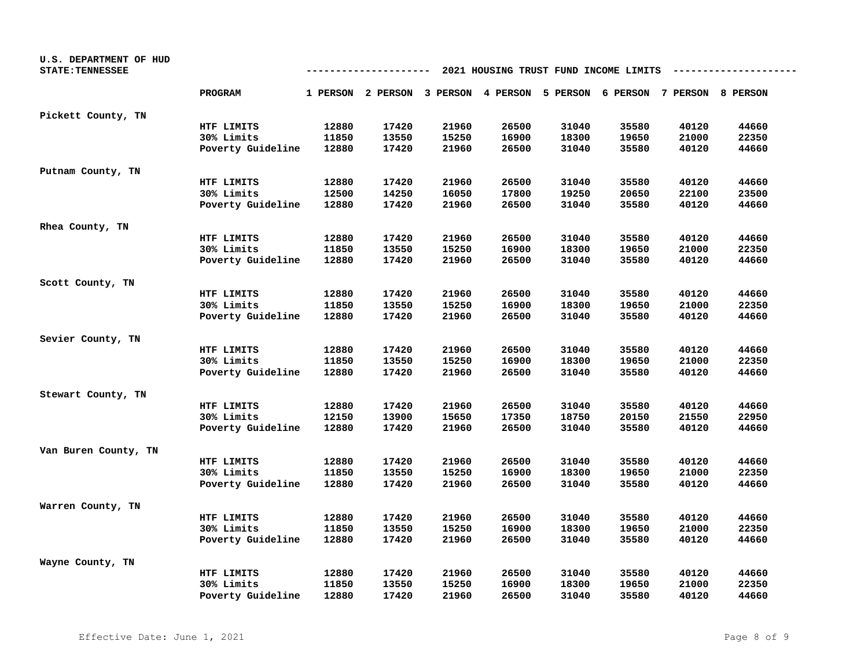| U.S. DEPARTMENT OF HUD  |                   |       |       |       |       |       |                                                                         |       |       |
|-------------------------|-------------------|-------|-------|-------|-------|-------|-------------------------------------------------------------------------|-------|-------|
| <b>STATE: TENNESSEE</b> |                   |       |       |       |       |       | 2021 HOUSING TRUST FUND INCOME LIMITS                                   |       |       |
|                         | <b>PROGRAM</b>    |       |       |       |       |       | 1 PERSON 2 PERSON 3 PERSON 4 PERSON 5 PERSON 6 PERSON 7 PERSON 8 PERSON |       |       |
| Pickett County, TN      |                   |       |       |       |       |       |                                                                         |       |       |
|                         | HTF LIMITS        | 12880 | 17420 | 21960 | 26500 | 31040 | 35580                                                                   | 40120 | 44660 |
|                         | 30% Limits        | 11850 | 13550 | 15250 | 16900 | 18300 | 19650                                                                   | 21000 | 22350 |
|                         | Poverty Guideline | 12880 | 17420 | 21960 | 26500 | 31040 | 35580                                                                   | 40120 | 44660 |
| Putnam County, TN       |                   |       |       |       |       |       |                                                                         |       |       |
|                         | HTF LIMITS        | 12880 | 17420 | 21960 | 26500 | 31040 | 35580                                                                   | 40120 | 44660 |
|                         | 30% Limits        | 12500 | 14250 | 16050 | 17800 | 19250 | 20650                                                                   | 22100 | 23500 |
|                         | Poverty Guideline | 12880 | 17420 | 21960 | 26500 | 31040 | 35580                                                                   | 40120 | 44660 |
| Rhea County, TN         |                   |       |       |       |       |       |                                                                         |       |       |
|                         | HTF LIMITS        | 12880 | 17420 | 21960 | 26500 | 31040 | 35580                                                                   | 40120 | 44660 |
|                         | 30% Limits        | 11850 | 13550 | 15250 | 16900 | 18300 | 19650                                                                   | 21000 | 22350 |
|                         | Poverty Guideline | 12880 | 17420 | 21960 | 26500 | 31040 | 35580                                                                   | 40120 | 44660 |
| Scott County, TN        |                   |       |       |       |       |       |                                                                         |       |       |
|                         | HTF LIMITS        | 12880 | 17420 | 21960 | 26500 | 31040 | 35580                                                                   | 40120 | 44660 |
|                         | 30% Limits        | 11850 | 13550 | 15250 | 16900 | 18300 | 19650                                                                   | 21000 | 22350 |
|                         | Poverty Guideline | 12880 | 17420 | 21960 | 26500 | 31040 | 35580                                                                   | 40120 | 44660 |
| Sevier County, TN       |                   |       |       |       |       |       |                                                                         |       |       |
|                         | HTF LIMITS        | 12880 | 17420 | 21960 | 26500 | 31040 | 35580                                                                   | 40120 | 44660 |
|                         | 30% Limits        | 11850 | 13550 | 15250 | 16900 | 18300 | 19650                                                                   | 21000 | 22350 |
|                         | Poverty Guideline | 12880 | 17420 | 21960 | 26500 | 31040 | 35580                                                                   | 40120 | 44660 |
| Stewart County, TN      |                   |       |       |       |       |       |                                                                         |       |       |
|                         | HTF LIMITS        | 12880 | 17420 | 21960 | 26500 | 31040 | 35580                                                                   | 40120 | 44660 |
|                         | 30% Limits        | 12150 | 13900 | 15650 | 17350 | 18750 | 20150                                                                   | 21550 | 22950 |
|                         | Poverty Guideline | 12880 | 17420 | 21960 | 26500 | 31040 | 35580                                                                   | 40120 | 44660 |
| Van Buren County, TN    |                   |       |       |       |       |       |                                                                         |       |       |
|                         | HTF LIMITS        | 12880 | 17420 | 21960 | 26500 | 31040 | 35580                                                                   | 40120 | 44660 |
|                         | 30% Limits        | 11850 | 13550 | 15250 | 16900 | 18300 | 19650                                                                   | 21000 | 22350 |
|                         | Poverty Guideline | 12880 | 17420 | 21960 | 26500 | 31040 | 35580                                                                   | 40120 | 44660 |
| Warren County, TN       |                   |       |       |       |       |       |                                                                         |       |       |
|                         | HTF LIMITS        | 12880 | 17420 | 21960 | 26500 | 31040 | 35580                                                                   | 40120 | 44660 |
|                         | 30% Limits        | 11850 | 13550 | 15250 | 16900 | 18300 | 19650                                                                   | 21000 | 22350 |
|                         | Poverty Guideline | 12880 | 17420 | 21960 | 26500 | 31040 | 35580                                                                   | 40120 | 44660 |
| Wayne County, TN        |                   |       |       |       |       |       |                                                                         |       |       |
|                         | HTF LIMITS        | 12880 | 17420 | 21960 | 26500 | 31040 | 35580                                                                   | 40120 | 44660 |
|                         | 30% Limits        | 11850 | 13550 | 15250 | 16900 | 18300 | 19650                                                                   | 21000 | 22350 |
|                         | Poverty Guideline | 12880 | 17420 | 21960 | 26500 | 31040 | 35580                                                                   | 40120 | 44660 |